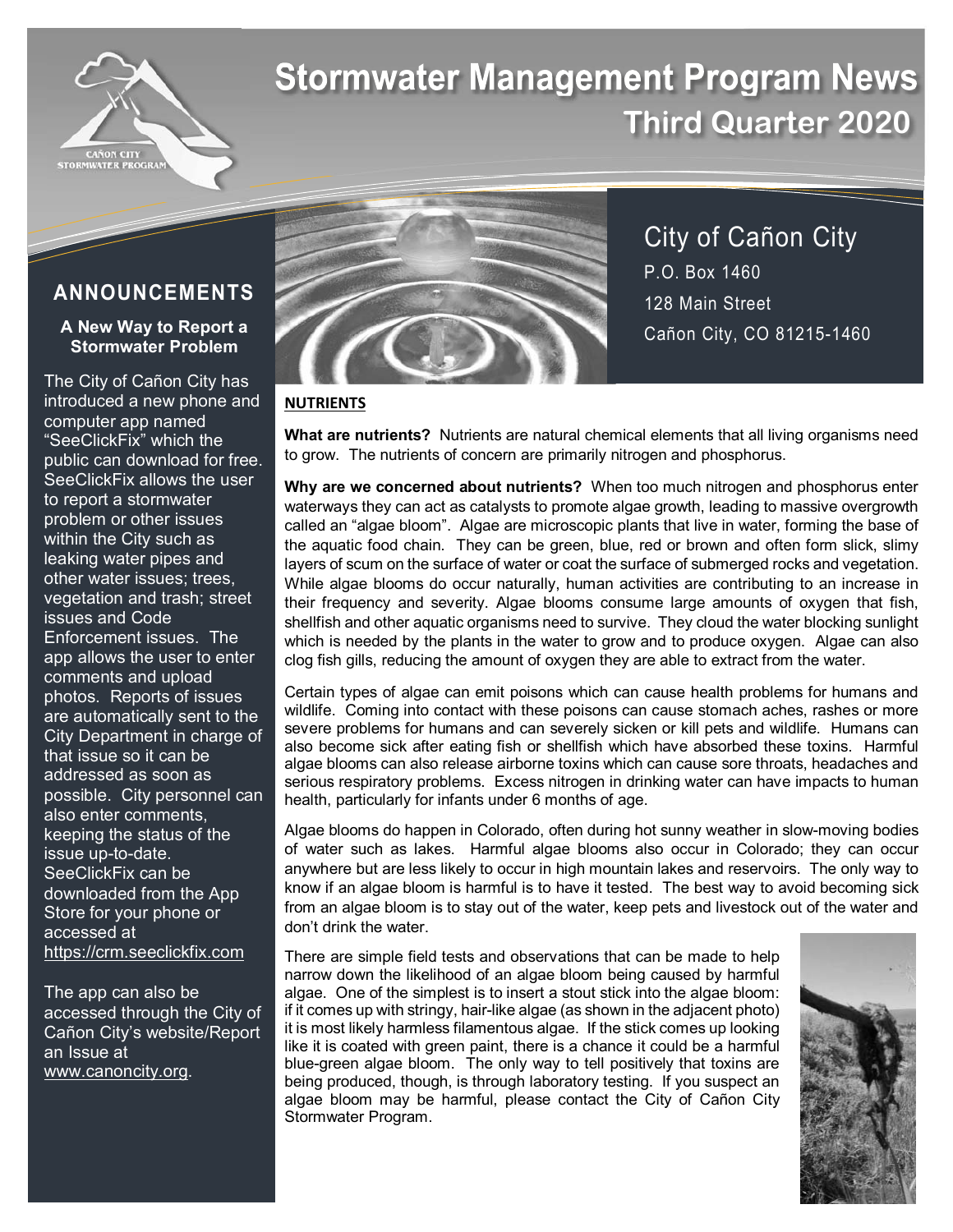

# **Stormwater Management Program News Third Quarter 2020**

## **ANNOUNCEMENTS**

## **A New Way to Report a Stormwater Problem**

The City of Cañon City has introduced a new phone and computer app named "SeeClickFix" which the public can download for free. SeeClickFix allows the user to report a stormwater problem or other issues within the City such as leaking water pipes and other water issues; trees, vegetation and trash; street issues and Code Enforcement issues. The app allows the user to enter comments and upload photos. Reports of issues are automatically sent to the City Department in charge of that issue so it can be addressed as soon as possible. City personnel can also enter comments, keeping the status of the issue up-to-date. SeeClickFix can be downloaded from the App Store for your phone or accessed at https://crm.seeclickfix.com

The app can also be accessed through the City of Cañon City's website/Report an Issue at www.canoncity.org.



City of Cañon City P.O. Box 1460 128 Main Street Cañon City, CO 81215-1460

## **NUTRIENTS**

**What are nutrients?** Nutrients are natural chemical elements that all living organisms need to grow. The nutrients of concern are primarily nitrogen and phosphorus.

**Why are we concerned about nutrients?** When too much nitrogen and phosphorus enter waterways they can act as catalysts to promote algae growth, leading to massive overgrowth called an "algae bloom". Algae are microscopic plants that live in water, forming the base of the aquatic food chain. They can be green, blue, red or brown and often form slick, slimy layers of scum on the surface of water or coat the surface of submerged rocks and vegetation. While algae blooms do occur naturally, human activities are contributing to an increase in their frequency and severity. Algae blooms consume large amounts of oxygen that fish, shellfish and other aquatic organisms need to survive. They cloud the water blocking sunlight which is needed by the plants in the water to grow and to produce oxygen. Algae can also clog fish gills, reducing the amount of oxygen they are able to extract from the water.

Certain types of algae can emit poisons which can cause health problems for humans and wildlife. Coming into contact with these poisons can cause stomach aches, rashes or more severe problems for humans and can severely sicken or kill pets and wildlife. Humans can also become sick after eating fish or shellfish which have absorbed these toxins. Harmful algae blooms can also release airborne toxins which can cause sore throats, headaches and serious respiratory problems. Excess nitrogen in drinking water can have impacts to human health, particularly for infants under 6 months of age.

Algae blooms do happen in Colorado, often during hot sunny weather in slow-moving bodies of water such as lakes. Harmful algae blooms also occur in Colorado; they can occur anywhere but are less likely to occur in high mountain lakes and reservoirs. The only way to know if an algae bloom is harmful is to have it tested. The best way to avoid becoming sick from an algae bloom is to stay out of the water, keep pets and livestock out of the water and don't drink the water.

There are simple field tests and observations that can be made to help narrow down the likelihood of an algae bloom being caused by harmful algae. One of the simplest is to insert a stout stick into the algae bloom: if it comes up with stringy, hair-like algae (as shown in the adjacent photo) it is most likely harmless filamentous algae. If the stick comes up looking like it is coated with green paint, there is a chance it could be a harmful blue-green algae bloom. The only way to tell positively that toxins are being produced, though, is through laboratory testing. If you suspect an algae bloom may be harmful, please contact the City of Cañon City Stormwater Program.